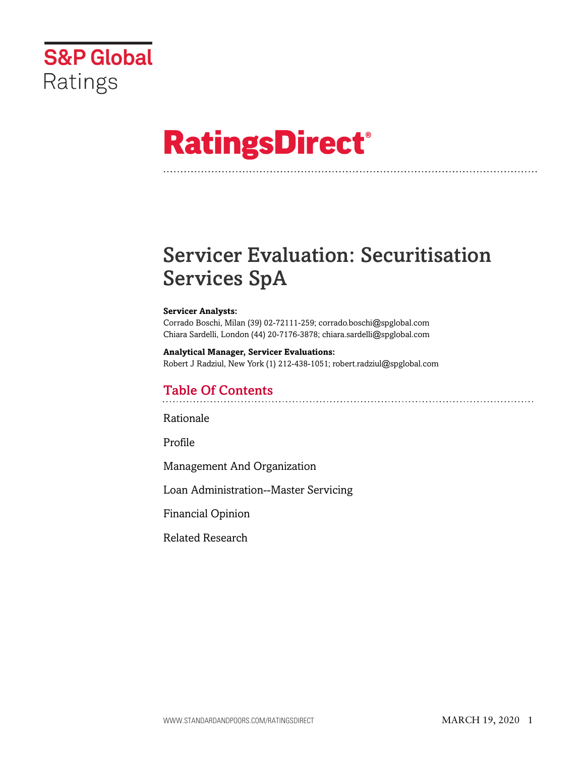

# **RatingsDirect®**

# Servicer Evaluation: Securitisation Services SpA

#### **Servicer Analysts:**

Corrado Boschi, Milan (39) 02-72111-259; corrado.boschi@spglobal.com Chiara Sardelli, London (44) 20-7176-3878; chiara.sardelli@spglobal.com

**Analytical Manager, Servicer Evaluations:** Robert J Radziul, New York (1) 212-438-1051; robert.radziul@spglobal.com

# Table Of Contents

[Rationale](#page-1-0)

[Profile](#page-2-0)

[Management And Organization](#page-5-0)

[Loan Administration--Master Servicing](#page-10-0)

[Financial Opinion](#page-13-0)

[Related Research](#page-13-1)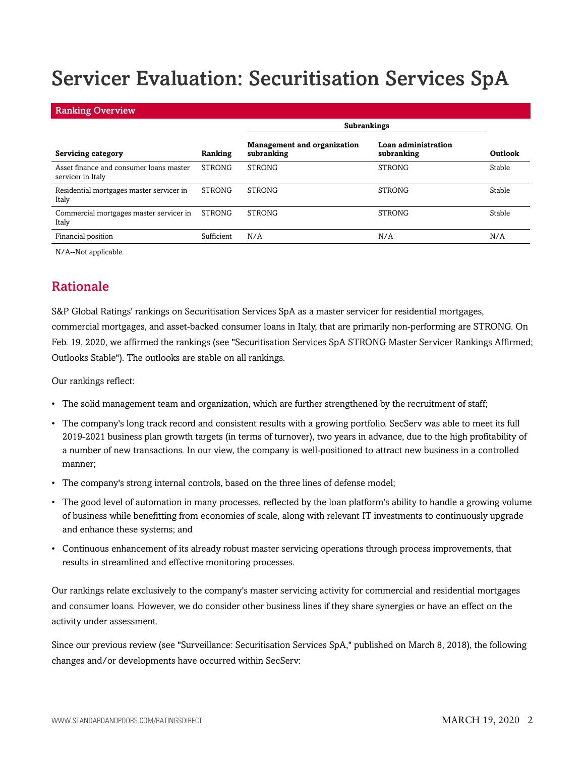# Servicer Evaluation: Securitisation Services SpA

#### Ranking Overview

|                                                              |               | <b>Subrankings</b>                               |                                          |         |
|--------------------------------------------------------------|---------------|--------------------------------------------------|------------------------------------------|---------|
| <b>Servicing category</b>                                    | Ranking       | <b>Management and organization</b><br>subranking | <b>Loan administration</b><br>subranking | Outlook |
| Asset finance and consumer loans master<br>servicer in Italy | <b>STRONG</b> | <b>STRONG</b>                                    | <b>STRONG</b>                            | Stable  |
| Residential mortgages master servicer in<br>Italy            | <b>STRONG</b> | <b>STRONG</b>                                    | <b>STRONG</b>                            | Stable  |
| Commercial mortgages master servicer in<br>Italy             | <b>STRONG</b> | <b>STRONG</b>                                    | <b>STRONG</b>                            | Stable  |
| Financial position                                           | Sufficient    | N/A                                              | N/A                                      | N/A     |

<span id="page-1-0"></span>N/A--Not applicable.

## Rationale

S&P Global Ratings' rankings on Securitisation Services SpA as a master servicer for residential mortgages, commercial mortgages, and asset-backed consumer loans in Italy, that are primarily non-performing are STRONG. On Feb. 19, 2020, we affirmed the rankings (see "Securitisation Services SpA STRONG Master Servicer Rankings Affirmed; Outlooks Stable"). The outlooks are stable on all rankings.

Our rankings reflect:

- The solid management team and organization, which are further strengthened by the recruitment of staff;
- The company's long track record and consistent results with a growing portfolio. SecServ was able to meet its full 2019-2021 business plan growth targets (in terms of turnover), two years in advance, due to the high profitability of a number of new transactions. In our view, the company is well-positioned to attract new business in a controlled manner;
- The company's strong internal controls, based on the three lines of defense model;
- The good level of automation in many processes, reflected by the loan platform's ability to handle a growing volume of business while benefitting from economies of scale, along with relevant IT investments to continuously upgrade and enhance these systems; and
- Continuous enhancement of its already robust master servicing operations through process improvements, that results in streamlined and effective monitoring processes.

Our rankings relate exclusively to the company's master servicing activity for commercial and residential mortgages and consumer loans. However, we do consider other business lines if they share synergies or have an effect on the activity under assessment.

Since our previous review (see "Surveillance: Securitisation Services SpA," published on March 8, 2018), the following changes and/or developments have occurred within SecServ: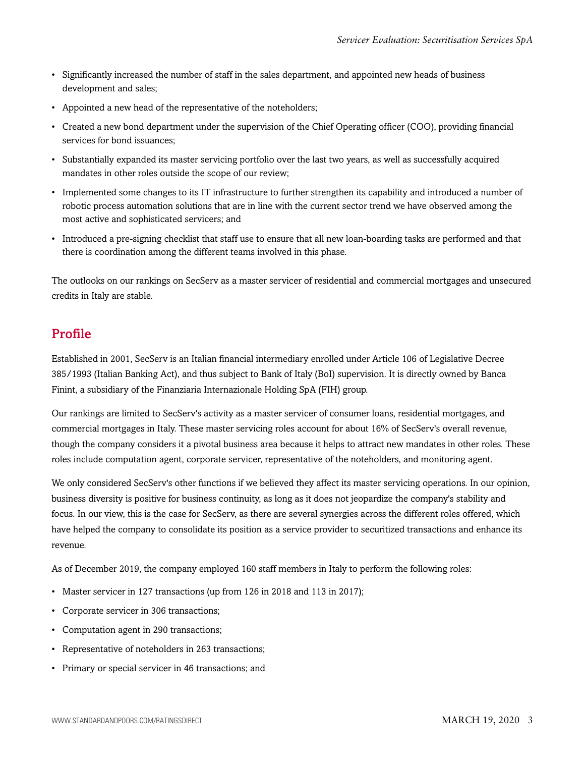- Significantly increased the number of staff in the sales department, and appointed new heads of business development and sales;
- Appointed a new head of the representative of the noteholders;
- Created a new bond department under the supervision of the Chief Operating officer (COO), providing financial services for bond issuances;
- Substantially expanded its master servicing portfolio over the last two years, as well as successfully acquired mandates in other roles outside the scope of our review;
- Implemented some changes to its IT infrastructure to further strengthen its capability and introduced a number of robotic process automation solutions that are in line with the current sector trend we have observed among the most active and sophisticated servicers; and
- Introduced a pre-signing checklist that staff use to ensure that all new loan-boarding tasks are performed and that there is coordination among the different teams involved in this phase.

The outlooks on our rankings on SecServ as a master servicer of residential and commercial mortgages and unsecured credits in Italy are stable.

# <span id="page-2-0"></span>Profile

Established in 2001, SecServ is an Italian financial intermediary enrolled under Article 106 of Legislative Decree 385/1993 (Italian Banking Act), and thus subject to Bank of Italy (BoI) supervision. It is directly owned by Banca Finint, a subsidiary of the Finanziaria Internazionale Holding SpA (FIH) group.

Our rankings are limited to SecServ's activity as a master servicer of consumer loans, residential mortgages, and commercial mortgages in Italy. These master servicing roles account for about 16% of SecServ's overall revenue, though the company considers it a pivotal business area because it helps to attract new mandates in other roles. These roles include computation agent, corporate servicer, representative of the noteholders, and monitoring agent.

We only considered SecServ's other functions if we believed they affect its master servicing operations. In our opinion, business diversity is positive for business continuity, as long as it does not jeopardize the company's stability and focus. In our view, this is the case for SecServ, as there are several synergies across the different roles offered, which have helped the company to consolidate its position as a service provider to securitized transactions and enhance its revenue.

As of December 2019, the company employed 160 staff members in Italy to perform the following roles:

- Master servicer in 127 transactions (up from 126 in 2018 and 113 in 2017);
- Corporate servicer in 306 transactions;
- Computation agent in 290 transactions;
- Representative of noteholders in 263 transactions;
- Primary or special servicer in 46 transactions; and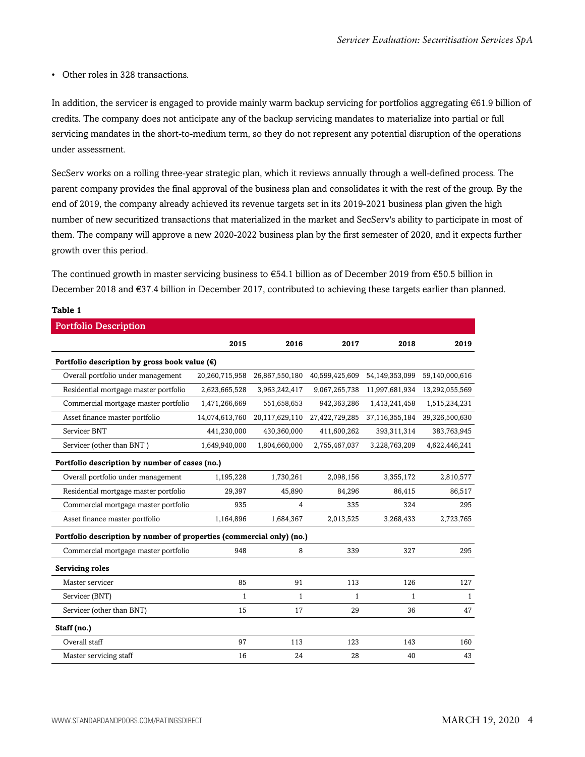• Other roles in 328 transactions.

In addition, the servicer is engaged to provide mainly warm backup servicing for portfolios aggregating €61.9 billion of credits. The company does not anticipate any of the backup servicing mandates to materialize into partial or full servicing mandates in the short-to-medium term, so they do not represent any potential disruption of the operations under assessment.

SecServ works on a rolling three-year strategic plan, which it reviews annually through a well-defined process. The parent company provides the final approval of the business plan and consolidates it with the rest of the group. By the end of 2019, the company already achieved its revenue targets set in its 2019-2021 business plan given the high number of new securitized transactions that materialized in the market and SecServ's ability to participate in most of them. The company will approve a new 2020-2022 business plan by the first semester of 2020, and it expects further growth over this period.

The continued growth in master servicing business to  $\epsilon$ 54.1 billion as of December 2019 from  $\epsilon$ 50.5 billion in December 2018 and €37.4 billion in December 2017, contributed to achieving these targets earlier than planned.

| Table 1                                                               |                |                |                |                |                |
|-----------------------------------------------------------------------|----------------|----------------|----------------|----------------|----------------|
| <b>Portfolio Description</b>                                          |                |                |                |                |                |
|                                                                       | 2015           | 2016           | 2017           | 2018           | 2019           |
| Portfolio description by gross book value $(\epsilon)$                |                |                |                |                |                |
| Overall portfolio under management                                    | 20,260,715,958 | 26,867,550,180 | 40,599,425,609 | 54,149,353,099 | 59,140,000,616 |
| Residential mortgage master portfolio                                 | 2,623,665,528  | 3,963,242,417  | 9,067,265,738  | 11,997,681,934 | 13,292,055,569 |
| Commercial mortgage master portfolio                                  | 1,471,266,669  | 551,658,653    | 942,363,286    | 1,413,241,458  | 1,515,234,231  |
| Asset finance master portfolio                                        | 14,074,613,760 | 20,117,629,110 | 27,422,729,285 | 37,116,355,184 | 39,326,500,630 |
| Servicer BNT                                                          | 441,230,000    | 430,360,000    | 411,600,262    | 393, 311, 314  | 383,763,945    |
| Servicer (other than BNT)                                             | 1,649,940,000  | 1,804,660,000  | 2,755,467,037  | 3,228,763,209  | 4,622,446,241  |
| Portfolio description by number of cases (no.)                        |                |                |                |                |                |
| Overall portfolio under management                                    | 1,195,228      | 1,730,261      | 2,098,156      | 3,355,172      | 2,810,577      |
| Residential mortgage master portfolio                                 | 29,397         | 45,890         | 84,296         | 86,415         | 86,517         |
| Commercial mortgage master portfolio                                  | 935            | 4              | 335            | 324            | 295            |
| Asset finance master portfolio                                        | 1,164,896      | 1,684,367      | 2,013,525      | 3,268,433      | 2,723,765      |
| Portfolio description by number of properties (commercial only) (no.) |                |                |                |                |                |
| Commercial mortgage master portfolio                                  | 948            | 8              | 339            | 327            | 295            |
| <b>Servicing roles</b>                                                |                |                |                |                |                |
| Master servicer                                                       | 85             | 91             | 113            | 126            | 127            |
| Servicer (BNT)                                                        | $\mathbf{1}$   | $\mathbf{1}$   | $\mathbf{1}$   | 1              | 1              |
| Servicer (other than BNT)                                             | 15             | 17             | 29             | 36             | 47             |
| Staff (no.)                                                           |                |                |                |                |                |
| Overall staff                                                         | 97             | 113            | 123            | 143            | 160            |
| Master servicing staff                                                | 16             | 24             | 28             | 40             | 43             |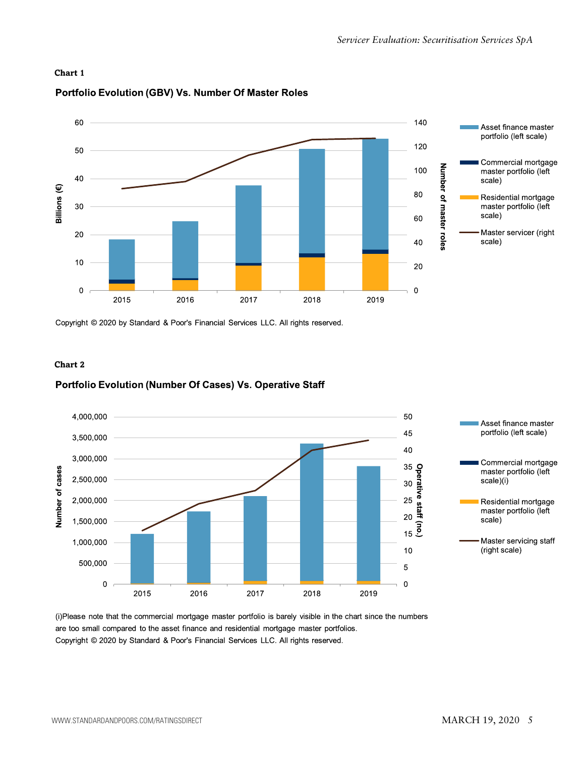



#### Portfolio Evolution (GBV) Vs. Number Of Master Roles

Copyright © 2020 by Standard & Poor's Financial Services LLC. All rights reserved.

#### **Chart 2**

#### Portfolio Evolution (Number Of Cases) Vs. Operative Staff



(i)Please note that the commercial mortgage master portfolio is barely visible in the chart since the numbers are too small compared to the asset finance and residential mortgage master portfolios. Copyright © 2020 by Standard & Poor's Financial Services LLC. All rights reserved.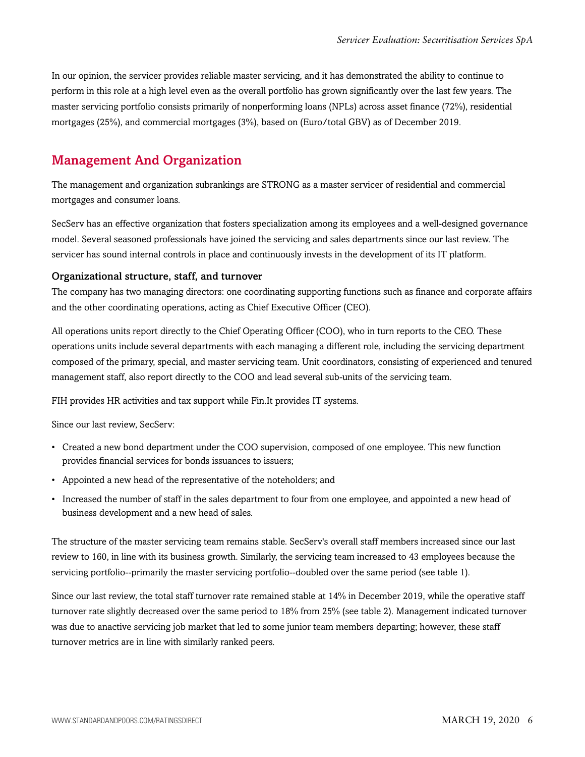In our opinion, the servicer provides reliable master servicing, and it has demonstrated the ability to continue to perform in this role at a high level even as the overall portfolio has grown significantly over the last few years. The master servicing portfolio consists primarily of nonperforming loans (NPLs) across asset finance (72%), residential mortgages (25%), and commercial mortgages (3%), based on (Euro/total GBV) as of December 2019.

### <span id="page-5-0"></span>Management And Organization

The management and organization subrankings are STRONG as a master servicer of residential and commercial mortgages and consumer loans.

SecServ has an effective organization that fosters specialization among its employees and a well-designed governance model. Several seasoned professionals have joined the servicing and sales departments since our last review. The servicer has sound internal controls in place and continuously invests in the development of its IT platform.

#### Organizational structure, staff, and turnover

The company has two managing directors: one coordinating supporting functions such as finance and corporate affairs and the other coordinating operations, acting as Chief Executive Officer (CEO).

All operations units report directly to the Chief Operating Officer (COO), who in turn reports to the CEO. These operations units include several departments with each managing a different role, including the servicing department composed of the primary, special, and master servicing team. Unit coordinators, consisting of experienced and tenured management staff, also report directly to the COO and lead several sub-units of the servicing team.

FIH provides HR activities and tax support while Fin.It provides IT systems.

Since our last review, SecServ:

- Created a new bond department under the COO supervision, composed of one employee. This new function provides financial services for bonds issuances to issuers;
- Appointed a new head of the representative of the noteholders; and
- Increased the number of staff in the sales department to four from one employee, and appointed a new head of business development and a new head of sales.

The structure of the master servicing team remains stable. SecServ's overall staff members increased since our last review to 160, in line with its business growth. Similarly, the servicing team increased to 43 employees because the servicing portfolio--primarily the master servicing portfolio--doubled over the same period (see table 1).

Since our last review, the total staff turnover rate remained stable at 14% in December 2019, while the operative staff turnover rate slightly decreased over the same period to 18% from 25% (see table 2). Management indicated turnover was due to anactive servicing job market that led to some junior team members departing; however, these staff turnover metrics are in line with similarly ranked peers.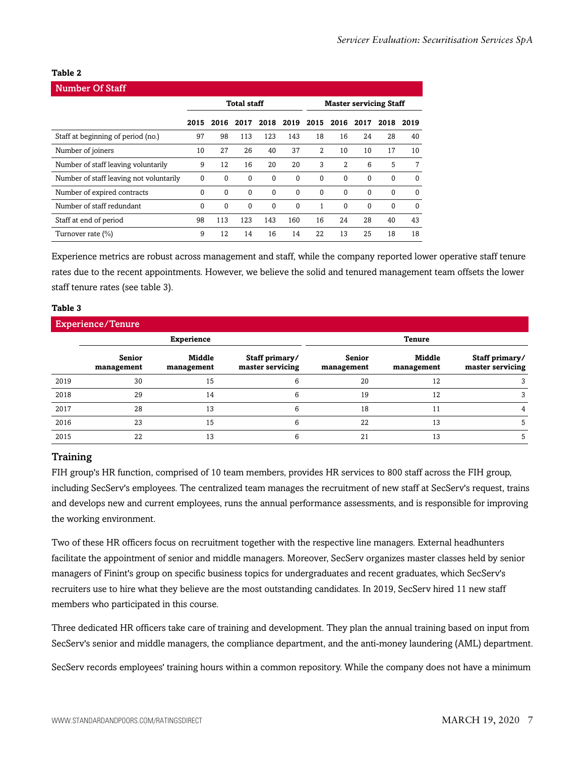#### **Table 2**

| <b>Number Of Staff</b>                  |                    |             |          |              |                               |              |                |          |          |          |
|-----------------------------------------|--------------------|-------------|----------|--------------|-------------------------------|--------------|----------------|----------|----------|----------|
|                                         | <b>Total staff</b> |             |          |              | <b>Master servicing Staff</b> |              |                |          |          |          |
|                                         | 2015               | 2016        | 2017     | 2018         |                               |              | 2019 2015 2016 | 2017     | 2018     | 2019     |
| Staff at beginning of period (no.)      | 97                 | 98          | 113      | 123          | 143                           | 18           | 16             | 24       | 28       | 40       |
| Number of joiners                       | 10                 | 27          | 26       | 40           | 37                            | 2            | 10             | 10       | 17       | 10       |
| Number of staff leaving voluntarily     | 9                  | 12          | 16       | 20           | 20                            | 3            | 2              | 6        | 5        | 7        |
| Number of staff leaving not voluntarily | 0                  | $\Omega$    | $\Omega$ | 0            | $\Omega$                      | $\Omega$     | $\Omega$       | $\Omega$ | $\Omega$ | $\Omega$ |
| Number of expired contracts             | $\mathbf{0}$       | $\mathbf 0$ | $\Omega$ | $\mathbf{0}$ | $\Omega$                      | $\Omega$     | $\Omega$       | $\Omega$ | $\Omega$ | $\Omega$ |
| Number of staff redundant               | $\Omega$           | $\Omega$    | $\Omega$ | $\Omega$     | $\Omega$                      | $\mathbf{1}$ | $\Omega$       | $\Omega$ | 0        | $\Omega$ |
| Staff at end of period                  | 98                 | 113         | 123      | 143          | 160                           | 16           | 24             | 28       | 40       | 43       |
| Turnover rate (%)                       | 9                  | 12          | 14       | 16           | 14                            | 22           | 13             | 25       | 18       | 18       |

Experience metrics are robust across management and staff, while the company reported lower operative staff tenure rates due to the recent appointments. However, we believe the solid and tenured management team offsets the lower staff tenure rates (see table 3).

#### **Table 3**

| <b>Experience/Tenure</b> |                      |                      |                                    |                      |                      |                                    |  |  |  |  |
|--------------------------|----------------------|----------------------|------------------------------------|----------------------|----------------------|------------------------------------|--|--|--|--|
|                          |                      | <b>Experience</b>    |                                    | <b>Tenure</b>        |                      |                                    |  |  |  |  |
|                          | Senior<br>management | Middle<br>management | Staff primary/<br>master servicing | Senior<br>management | Middle<br>management | Staff primary/<br>master servicing |  |  |  |  |
| 2019                     | 30                   | 15                   |                                    | 20                   | 12                   |                                    |  |  |  |  |
| 2018                     | 29                   | 14                   |                                    | 19                   | 12                   |                                    |  |  |  |  |
| 2017                     | 28                   | 13                   |                                    | 18                   | 11                   |                                    |  |  |  |  |
| 2016                     | 23                   | 15                   |                                    | 22                   | 13                   |                                    |  |  |  |  |
| 2015                     | 22                   | 13                   |                                    | 21                   | 13                   |                                    |  |  |  |  |

#### **Training**

FIH group's HR function, comprised of 10 team members, provides HR services to 800 staff across the FIH group, including SecServ's employees. The centralized team manages the recruitment of new staff at SecServ's request, trains and develops new and current employees, runs the annual performance assessments, and is responsible for improving the working environment.

Two of these HR officers focus on recruitment together with the respective line managers. External headhunters facilitate the appointment of senior and middle managers. Moreover, SecServ organizes master classes held by senior managers of Finint's group on specific business topics for undergraduates and recent graduates, which SecServ's recruiters use to hire what they believe are the most outstanding candidates. In 2019, SecServ hired 11 new staff members who participated in this course.

Three dedicated HR officers take care of training and development. They plan the annual training based on input from SecServ's senior and middle managers, the compliance department, and the anti-money laundering (AML) department.

SecServ records employees' training hours within a common repository. While the company does not have a minimum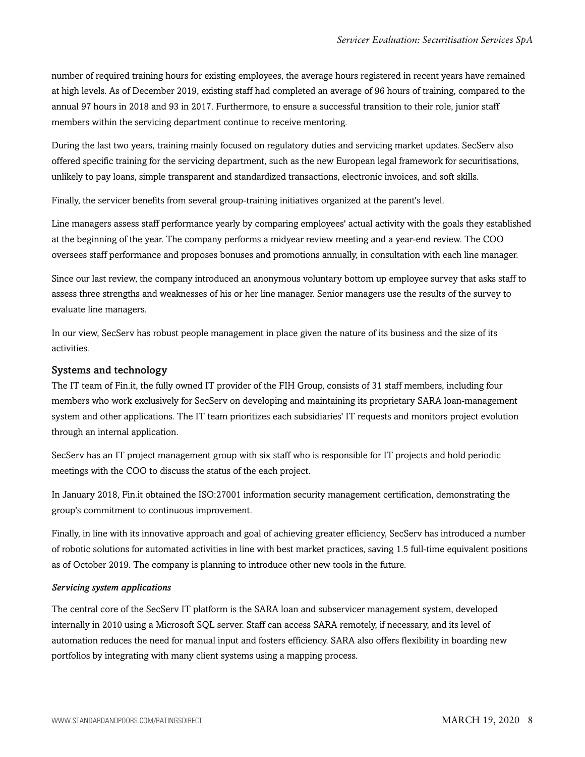number of required training hours for existing employees, the average hours registered in recent years have remained at high levels. As of December 2019, existing staff had completed an average of 96 hours of training, compared to the annual 97 hours in 2018 and 93 in 2017. Furthermore, to ensure a successful transition to their role, junior staff members within the servicing department continue to receive mentoring.

During the last two years, training mainly focused on regulatory duties and servicing market updates. SecServ also offered specific training for the servicing department, such as the new European legal framework for securitisations, unlikely to pay loans, simple transparent and standardized transactions, electronic invoices, and soft skills.

Finally, the servicer benefits from several group-training initiatives organized at the parent's level.

Line managers assess staff performance yearly by comparing employees' actual activity with the goals they established at the beginning of the year. The company performs a midyear review meeting and a year-end review. The COO oversees staff performance and proposes bonuses and promotions annually, in consultation with each line manager.

Since our last review, the company introduced an anonymous voluntary bottom up employee survey that asks staff to assess three strengths and weaknesses of his or her line manager. Senior managers use the results of the survey to evaluate line managers.

In our view, SecServ has robust people management in place given the nature of its business and the size of its activities.

#### Systems and technology

The IT team of Fin.it, the fully owned IT provider of the FIH Group, consists of 31 staff members, including four members who work exclusively for SecServ on developing and maintaining its proprietary SARA loan-management system and other applications. The IT team prioritizes each subsidiaries' IT requests and monitors project evolution through an internal application.

SecServ has an IT project management group with six staff who is responsible for IT projects and hold periodic meetings with the COO to discuss the status of the each project.

In January 2018, Fin.it obtained the ISO:27001 information security management certification, demonstrating the group's commitment to continuous improvement.

Finally, in line with its innovative approach and goal of achieving greater efficiency, SecServ has introduced a number of robotic solutions for automated activities in line with best market practices, saving 1.5 full-time equivalent positions as of October 2019. The company is planning to introduce other new tools in the future.

#### *Servicing system applications*

The central core of the SecServ IT platform is the SARA loan and subservicer management system, developed internally in 2010 using a Microsoft SQL server. Staff can access SARA remotely, if necessary, and its level of automation reduces the need for manual input and fosters efficiency. SARA also offers flexibility in boarding new portfolios by integrating with many client systems using a mapping process.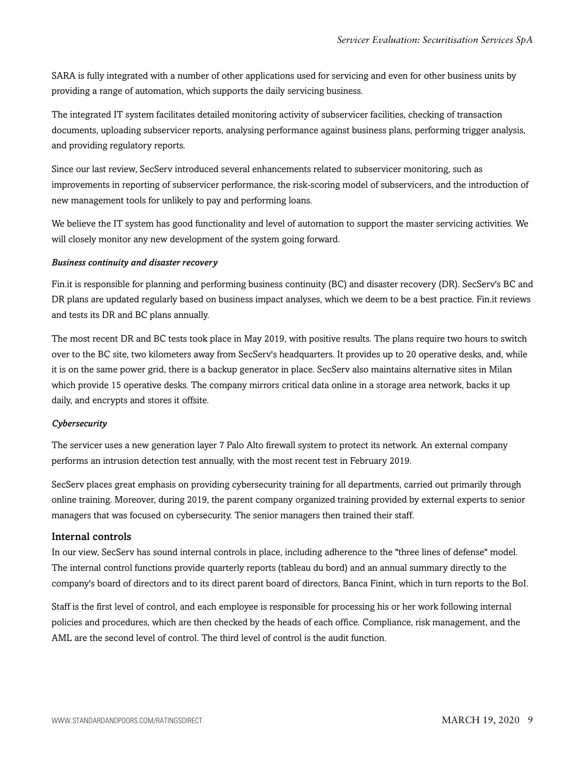SARA is fully integrated with a number of other applications used for servicing and even for other business units by providing a range of automation, which supports the daily servicing business.

The integrated IT system facilitates detailed monitoring activity of subservicer facilities, checking of transaction documents, uploading subservicer reports, analysing performance against business plans, performing trigger analysis, and providing regulatory reports.

Since our last review, SecServ introduced several enhancements related to subservicer monitoring, such as improvements in reporting of subservicer performance, the risk-scoring model of subservicers, and the introduction of new management tools for unlikely to pay and performing loans.

We believe the IT system has good functionality and level of automation to support the master servicing activities. We will closely monitor any new development of the system going forward.

#### *Business continuity and disaster recovery*

Fin.it is responsible for planning and performing business continuity (BC) and disaster recovery (DR). SecServ's BC and DR plans are updated regularly based on business impact analyses, which we deem to be a best practice. Fin.it reviews and tests its DR and BC plans annually.

The most recent DR and BC tests took place in May 2019, with positive results. The plans require two hours to switch over to the BC site, two kilometers away from SecServ's headquarters. It provides up to 20 operative desks, and, while it is on the same power grid, there is a backup generator in place. SecServ also maintains alternative sites in Milan which provide 15 operative desks. The company mirrors critical data online in a storage area network, backs it up daily, and encrypts and stores it offsite.

#### *Cybersecurity*

The servicer uses a new generation layer 7 Palo Alto firewall system to protect its network. An external company performs an intrusion detection test annually, with the most recent test in February 2019.

SecServ places great emphasis on providing cybersecurity training for all departments, carried out primarily through online training. Moreover, during 2019, the parent company organized training provided by external experts to senior managers that was focused on cybersecurity. The senior managers then trained their staff.

#### Internal controls

In our view, SecServ has sound internal controls in place, including adherence to the "three lines of defense" model. The internal control functions provide quarterly reports (tableau du bord) and an annual summary directly to the company's board of directors and to its direct parent board of directors, Banca Finint, which in turn reports to the BoI.

Staff is the first level of control, and each employee is responsible for processing his or her work following internal policies and procedures, which are then checked by the heads of each office. Compliance, risk management, and the AML are the second level of control. The third level of control is the audit function.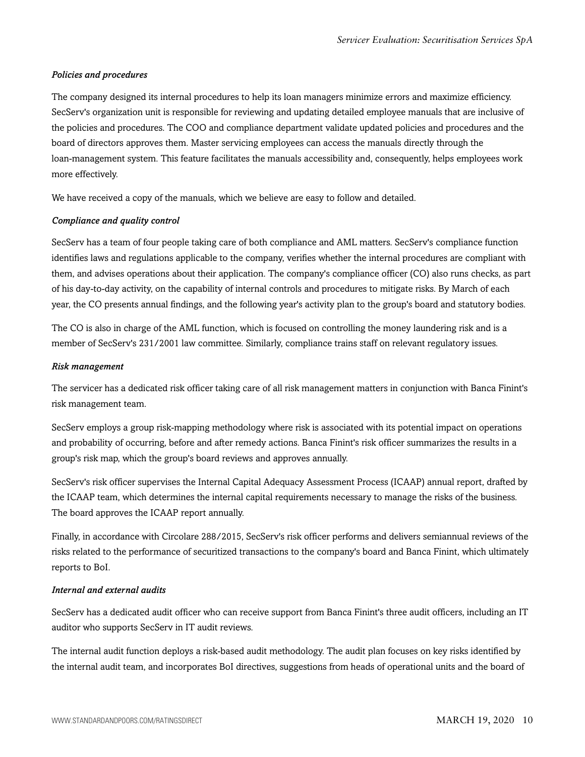#### *Policies and procedures*

The company designed its internal procedures to help its loan managers minimize errors and maximize efficiency. SecServ's organization unit is responsible for reviewing and updating detailed employee manuals that are inclusive of the policies and procedures. The COO and compliance department validate updated policies and procedures and the board of directors approves them. Master servicing employees can access the manuals directly through the loan-management system. This feature facilitates the manuals accessibility and, consequently, helps employees work more effectively.

We have received a copy of the manuals, which we believe are easy to follow and detailed.

#### *Compliance and quality control*

SecServ has a team of four people taking care of both compliance and AML matters. SecServ's compliance function identifies laws and regulations applicable to the company, verifies whether the internal procedures are compliant with them, and advises operations about their application. The company's compliance officer (CO) also runs checks, as part of his day-to-day activity, on the capability of internal controls and procedures to mitigate risks. By March of each year, the CO presents annual findings, and the following year's activity plan to the group's board and statutory bodies.

The CO is also in charge of the AML function, which is focused on controlling the money laundering risk and is a member of SecServ's 231/2001 law committee. Similarly, compliance trains staff on relevant regulatory issues.

#### *Risk management*

The servicer has a dedicated risk officer taking care of all risk management matters in conjunction with Banca Finint's risk management team.

SecServ employs a group risk-mapping methodology where risk is associated with its potential impact on operations and probability of occurring, before and after remedy actions. Banca Finint's risk officer summarizes the results in a group's risk map, which the group's board reviews and approves annually.

SecServ's risk officer supervises the Internal Capital Adequacy Assessment Process (ICAAP) annual report, drafted by the ICAAP team, which determines the internal capital requirements necessary to manage the risks of the business. The board approves the ICAAP report annually.

Finally, in accordance with Circolare 288/2015, SecServ's risk officer performs and delivers semiannual reviews of the risks related to the performance of securitized transactions to the company's board and Banca Finint, which ultimately reports to BoI.

#### *Internal and external audits*

SecServ has a dedicated audit officer who can receive support from Banca Finint's three audit officers, including an IT auditor who supports SecServ in IT audit reviews.

The internal audit function deploys a risk-based audit methodology. The audit plan focuses on key risks identified by the internal audit team, and incorporates BoI directives, suggestions from heads of operational units and the board of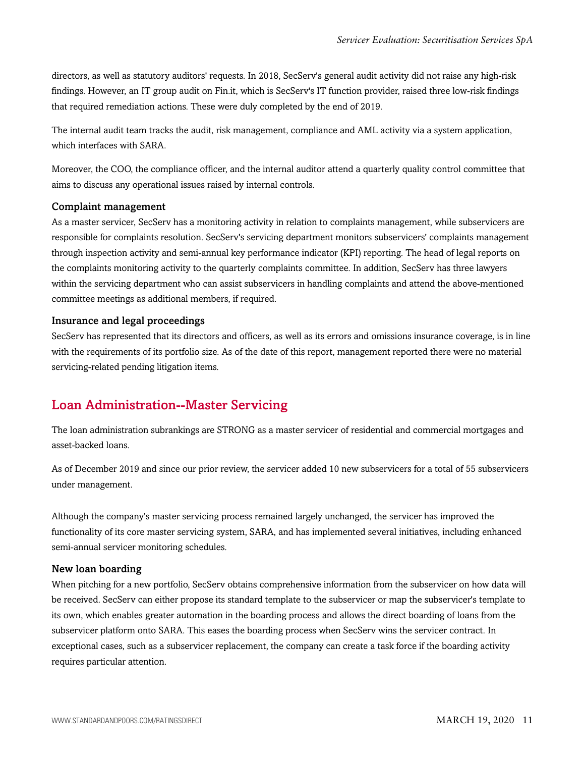directors, as well as statutory auditors' requests. In 2018, SecServ's general audit activity did not raise any high-risk findings. However, an IT group audit on Fin.it, which is SecServ's IT function provider, raised three low-risk findings that required remediation actions. These were duly completed by the end of 2019.

The internal audit team tracks the audit, risk management, compliance and AML activity via a system application, which interfaces with SARA.

Moreover, the COO, the compliance officer, and the internal auditor attend a quarterly quality control committee that aims to discuss any operational issues raised by internal controls.

#### Complaint management

As a master servicer, SecServ has a monitoring activity in relation to complaints management, while subservicers are responsible for complaints resolution. SecServ's servicing department monitors subservicers' complaints management through inspection activity and semi-annual key performance indicator (KPI) reporting. The head of legal reports on the complaints monitoring activity to the quarterly complaints committee. In addition, SecServ has three lawyers within the servicing department who can assist subservicers in handling complaints and attend the above-mentioned committee meetings as additional members, if required.

#### Insurance and legal proceedings

SecServ has represented that its directors and officers, as well as its errors and omissions insurance coverage, is in line with the requirements of its portfolio size. As of the date of this report, management reported there were no material servicing-related pending litigation items.

## <span id="page-10-0"></span>Loan Administration--Master Servicing

The loan administration subrankings are STRONG as a master servicer of residential and commercial mortgages and asset-backed loans.

As of December 2019 and since our prior review, the servicer added 10 new subservicers for a total of 55 subservicers under management.

Although the company's master servicing process remained largely unchanged, the servicer has improved the functionality of its core master servicing system, SARA, and has implemented several initiatives, including enhanced semi-annual servicer monitoring schedules.

#### New loan boarding

When pitching for a new portfolio, SecServ obtains comprehensive information from the subservicer on how data will be received. SecServ can either propose its standard template to the subservicer or map the subservicer's template to its own, which enables greater automation in the boarding process and allows the direct boarding of loans from the subservicer platform onto SARA. This eases the boarding process when SecServ wins the servicer contract. In exceptional cases, such as a subservicer replacement, the company can create a task force if the boarding activity requires particular attention.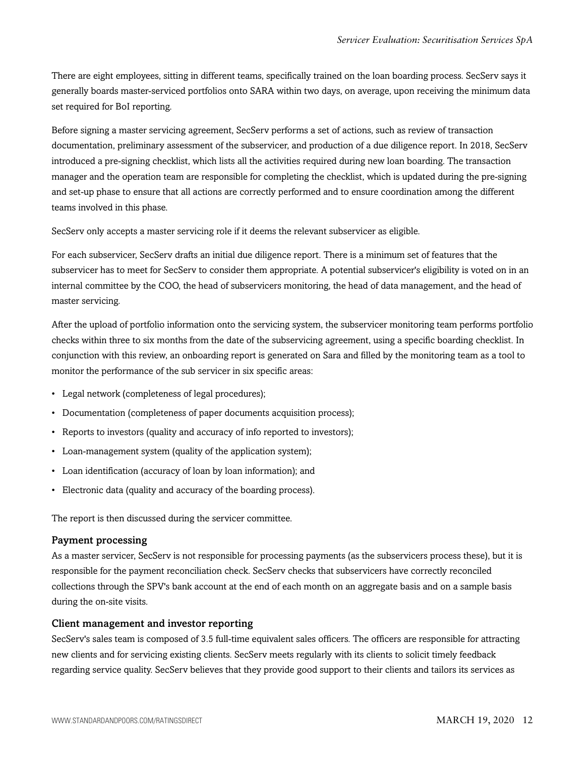There are eight employees, sitting in different teams, specifically trained on the loan boarding process. SecServ says it generally boards master-serviced portfolios onto SARA within two days, on average, upon receiving the minimum data set required for BoI reporting.

Before signing a master servicing agreement, SecServ performs a set of actions, such as review of transaction documentation, preliminary assessment of the subservicer, and production of a due diligence report. In 2018, SecServ introduced a pre-signing checklist, which lists all the activities required during new loan boarding. The transaction manager and the operation team are responsible for completing the checklist, which is updated during the pre-signing and set-up phase to ensure that all actions are correctly performed and to ensure coordination among the different teams involved in this phase.

SecServ only accepts a master servicing role if it deems the relevant subservicer as eligible.

For each subservicer, SecServ drafts an initial due diligence report. There is a minimum set of features that the subservicer has to meet for SecServ to consider them appropriate. A potential subservicer's eligibility is voted on in an internal committee by the COO, the head of subservicers monitoring, the head of data management, and the head of master servicing.

After the upload of portfolio information onto the servicing system, the subservicer monitoring team performs portfolio checks within three to six months from the date of the subservicing agreement, using a specific boarding checklist. In conjunction with this review, an onboarding report is generated on Sara and filled by the monitoring team as a tool to monitor the performance of the sub servicer in six specific areas:

- Legal network (completeness of legal procedures);
- Documentation (completeness of paper documents acquisition process);
- Reports to investors (quality and accuracy of info reported to investors);
- Loan-management system (quality of the application system);
- Loan identification (accuracy of loan by loan information); and
- Electronic data (quality and accuracy of the boarding process).

The report is then discussed during the servicer committee.

#### Payment processing

As a master servicer, SecServ is not responsible for processing payments (as the subservicers process these), but it is responsible for the payment reconciliation check. SecServ checks that subservicers have correctly reconciled collections through the SPV's bank account at the end of each month on an aggregate basis and on a sample basis during the on-site visits.

#### Client management and investor reporting

SecServ's sales team is composed of 3.5 full-time equivalent sales officers. The officers are responsible for attracting new clients and for servicing existing clients. SecServ meets regularly with its clients to solicit timely feedback regarding service quality. SecServ believes that they provide good support to their clients and tailors its services as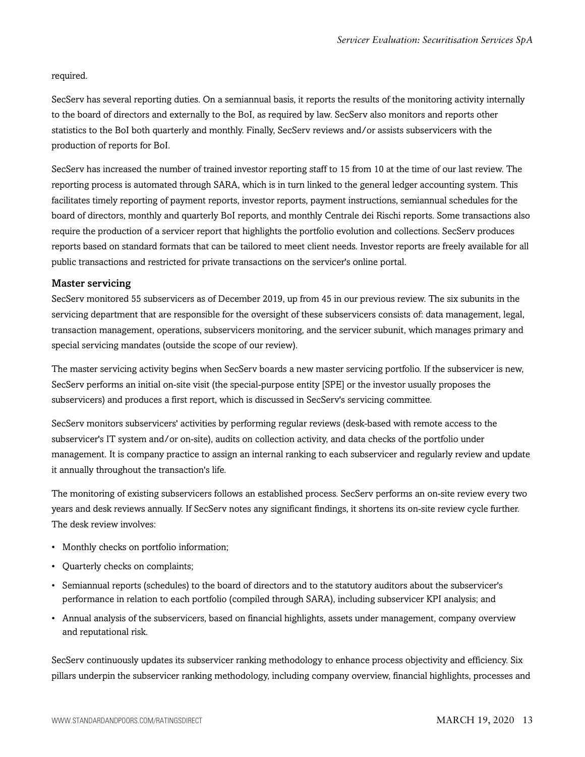required.

SecServ has several reporting duties. On a semiannual basis, it reports the results of the monitoring activity internally to the board of directors and externally to the BoI, as required by law. SecServ also monitors and reports other statistics to the BoI both quarterly and monthly. Finally, SecServ reviews and/or assists subservicers with the production of reports for BoI.

SecServ has increased the number of trained investor reporting staff to 15 from 10 at the time of our last review. The reporting process is automated through SARA, which is in turn linked to the general ledger accounting system. This facilitates timely reporting of payment reports, investor reports, payment instructions, semiannual schedules for the board of directors, monthly and quarterly BoI reports, and monthly Centrale dei Rischi reports. Some transactions also require the production of a servicer report that highlights the portfolio evolution and collections. SecServ produces reports based on standard formats that can be tailored to meet client needs. Investor reports are freely available for all public transactions and restricted for private transactions on the servicer's online portal.

#### Master servicing

SecServ monitored 55 subservicers as of December 2019, up from 45 in our previous review. The six subunits in the servicing department that are responsible for the oversight of these subservicers consists of: data management, legal, transaction management, operations, subservicers monitoring, and the servicer subunit, which manages primary and special servicing mandates (outside the scope of our review).

The master servicing activity begins when SecServ boards a new master servicing portfolio. If the subservicer is new, SecServ performs an initial on-site visit (the special-purpose entity [SPE] or the investor usually proposes the subservicers) and produces a first report, which is discussed in SecServ's servicing committee.

SecServ monitors subservicers' activities by performing regular reviews (desk-based with remote access to the subservicer's IT system and/or on-site), audits on collection activity, and data checks of the portfolio under management. It is company practice to assign an internal ranking to each subservicer and regularly review and update it annually throughout the transaction's life.

The monitoring of existing subservicers follows an established process. SecServ performs an on-site review every two years and desk reviews annually. If SecServ notes any significant findings, it shortens its on-site review cycle further. The desk review involves:

- Monthly checks on portfolio information;
- Quarterly checks on complaints;
- Semiannual reports (schedules) to the board of directors and to the statutory auditors about the subservicer's performance in relation to each portfolio (compiled through SARA), including subservicer KPI analysis; and
- Annual analysis of the subservicers, based on financial highlights, assets under management, company overview and reputational risk.

SecServ continuously updates its subservicer ranking methodology to enhance process objectivity and efficiency. Six pillars underpin the subservicer ranking methodology, including company overview, financial highlights, processes and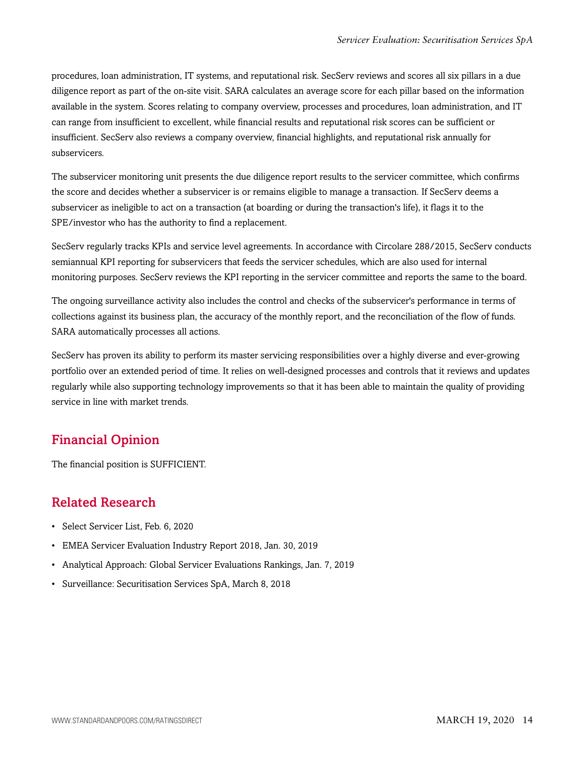procedures, loan administration, IT systems, and reputational risk. SecServ reviews and scores all six pillars in a due diligence report as part of the on-site visit. SARA calculates an average score for each pillar based on the information available in the system. Scores relating to company overview, processes and procedures, loan administration, and IT can range from insufficient to excellent, while financial results and reputational risk scores can be sufficient or insufficient. SecServ also reviews a company overview, financial highlights, and reputational risk annually for subservicers.

The subservicer monitoring unit presents the due diligence report results to the servicer committee, which confirms the score and decides whether a subservicer is or remains eligible to manage a transaction. If SecServ deems a subservicer as ineligible to act on a transaction (at boarding or during the transaction's life), it flags it to the SPE/investor who has the authority to find a replacement.

SecServ regularly tracks KPIs and service level agreements. In accordance with Circolare 288/2015, SecServ conducts semiannual KPI reporting for subservicers that feeds the servicer schedules, which are also used for internal monitoring purposes. SecServ reviews the KPI reporting in the servicer committee and reports the same to the board.

The ongoing surveillance activity also includes the control and checks of the subservicer's performance in terms of collections against its business plan, the accuracy of the monthly report, and the reconciliation of the flow of funds. SARA automatically processes all actions.

SecServ has proven its ability to perform its master servicing responsibilities over a highly diverse and ever-growing portfolio over an extended period of time. It relies on well-designed processes and controls that it reviews and updates regularly while also supporting technology improvements so that it has been able to maintain the quality of providing service in line with market trends.

# <span id="page-13-0"></span>Financial Opinion

<span id="page-13-1"></span>The financial position is SUFFICIENT.

# Related Research

- Select Servicer List, Feb. 6, 2020
- EMEA Servicer Evaluation Industry Report 2018, Jan. 30, 2019
- Analytical Approach: Global Servicer Evaluations Rankings, Jan. 7, 2019
- Surveillance: Securitisation Services SpA, March 8, 2018